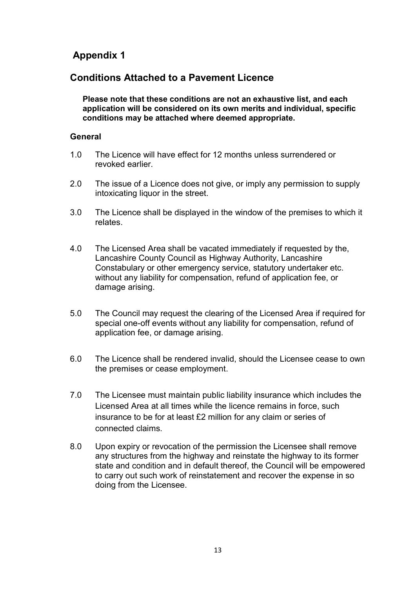# Appendix 1

## Conditions Attached to a Pavement Licence

Please note that these conditions are not an exhaustive list, and each application will be considered on its own merits and individual, specific conditions may be attached where deemed appropriate.

#### **General**

- 1.0 The Licence will have effect for 12 months unless surrendered or revoked earlier.
- 2.0 The issue of a Licence does not give, or imply any permission to supply intoxicating liquor in the street.
- 3.0 The Licence shall be displayed in the window of the premises to which it relates.
- 4.0 The Licensed Area shall be vacated immediately if requested by the, Lancashire County Council as Highway Authority, Lancashire Constabulary or other emergency service, statutory undertaker etc. without any liability for compensation, refund of application fee, or damage arising.
- 5.0 The Council may request the clearing of the Licensed Area if required for special one-off events without any liability for compensation, refund of application fee, or damage arising.
- 6.0 The Licence shall be rendered invalid, should the Licensee cease to own the premises or cease employment.
- 7.0 The Licensee must maintain public liability insurance which includes the Licensed Area at all times while the licence remains in force, such insurance to be for at least £2 million for any claim or series of connected claims.
- 8.0 Upon expiry or revocation of the permission the Licensee shall remove any structures from the highway and reinstate the highway to its former state and condition and in default thereof, the Council will be empowered to carry out such work of reinstatement and recover the expense in so doing from the Licensee.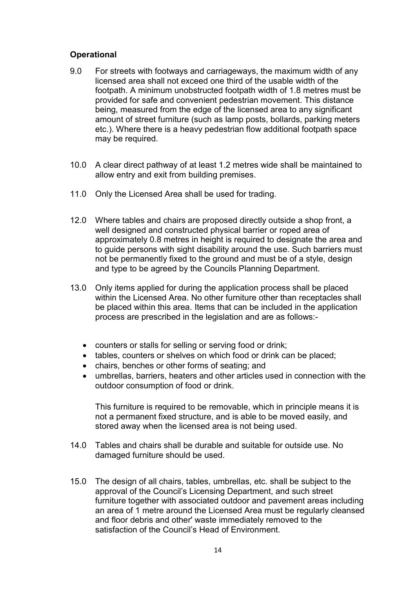### **Operational**

- 9.0 For streets with footways and carriageways, the maximum width of any licensed area shall not exceed one third of the usable width of the footpath. A minimum unobstructed footpath width of 1.8 metres must be provided for safe and convenient pedestrian movement. This distance being, measured from the edge of the licensed area to any significant amount of street furniture (such as lamp posts, bollards, parking meters etc.). Where there is a heavy pedestrian flow additional footpath space may be required.
- 10.0 A clear direct pathway of at least 1.2 metres wide shall be maintained to allow entry and exit from building premises.
- 11.0 Only the Licensed Area shall be used for trading.
- 12.0 Where tables and chairs are proposed directly outside a shop front, a well designed and constructed physical barrier or roped area of approximately 0.8 metres in height is required to designate the area and to guide persons with sight disability around the use. Such barriers must not be permanently fixed to the ground and must be of a style, design and type to be agreed by the Councils Planning Department.
- 13.0 Only items applied for during the application process shall be placed within the Licensed Area. No other furniture other than receptacles shall be placed within this area. Items that can be included in the application process are prescribed in the legislation and are as follows:
	- counters or stalls for selling or serving food or drink;
	- tables, counters or shelves on which food or drink can be placed;
	- chairs, benches or other forms of seating; and
	- umbrellas, barriers, heaters and other articles used in connection with the outdoor consumption of food or drink.

This furniture is required to be removable, which in principle means it is not a permanent fixed structure, and is able to be moved easily, and stored away when the licensed area is not being used.

- 14.0 Tables and chairs shall be durable and suitable for outside use. No damaged furniture should be used.
- 15.0 The design of all chairs, tables, umbrellas, etc. shall be subject to the approval of the Council's Licensing Department, and such street furniture together with associated outdoor and pavement areas including an area of 1 metre around the Licensed Area must be regularly cleansed and floor debris and other' waste immediately removed to the satisfaction of the Council's Head of Environment.